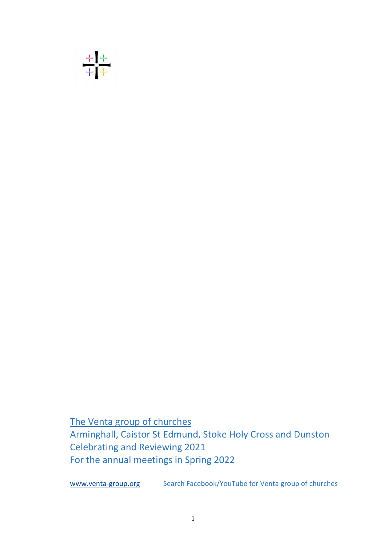

The Venta group of churches Arminghall, Caistor St Edmund, Stoke Holy Cross and Dunston Celebrating and Reviewing 2021 For the annual meetings in Spring 2022

www.venta-group.org Search Facebook/YouTube for Venta group of churches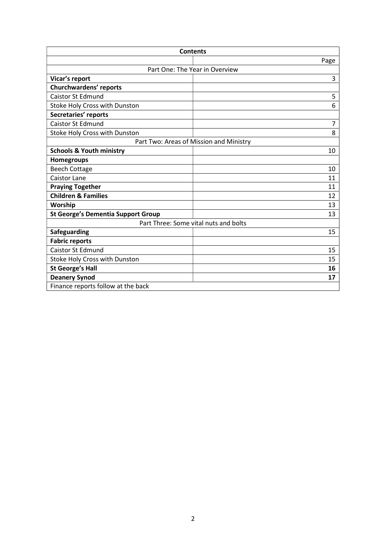| <b>Contents</b>                           |      |  |
|-------------------------------------------|------|--|
|                                           | Page |  |
| Part One: The Year in Overview            |      |  |
| Vicar's report                            | 3    |  |
| Churchwardens' reports                    |      |  |
| <b>Caistor St Edmund</b>                  | 5    |  |
| Stoke Holy Cross with Dunston             | 6    |  |
| Secretaries' reports                      |      |  |
| <b>Caistor St Edmund</b>                  | 7    |  |
| Stoke Holy Cross with Dunston             | 8    |  |
| Part Two: Areas of Mission and Ministry   |      |  |
| <b>Schools &amp; Youth ministry</b>       | 10   |  |
| Homegroups                                |      |  |
| <b>Beech Cottage</b>                      | 10   |  |
| <b>Caistor Lane</b>                       | 11   |  |
| <b>Praying Together</b>                   | 11   |  |
| <b>Children &amp; Families</b>            | 12   |  |
| Worship                                   | 13   |  |
| <b>St George's Dementia Support Group</b> | 13   |  |
| Part Three: Some vital nuts and bolts     |      |  |
| Safeguarding                              | 15   |  |
| <b>Fabric reports</b>                     |      |  |
| <b>Caistor St Edmund</b>                  | 15   |  |
| Stoke Holy Cross with Dunston             | 15   |  |
| <b>St George's Hall</b>                   | 16   |  |
| <b>Deanery Synod</b>                      | 17   |  |
| Finance reports follow at the back        |      |  |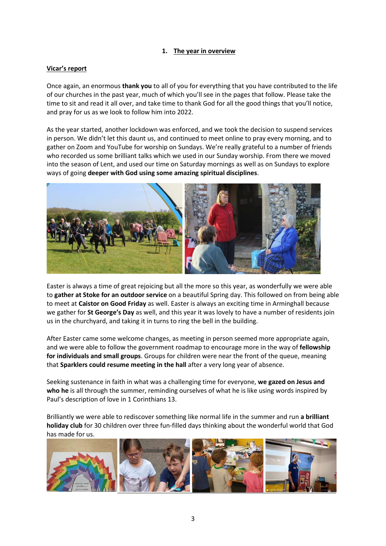## 1. The year in overview

### Vicar's report

Once again, an enormous thank you to all of you for everything that you have contributed to the life of our churches in the past year, much of which you'll see in the pages that follow. Please take the time to sit and read it all over, and take time to thank God for all the good things that you'll notice, and pray for us as we look to follow him into 2022.

As the year started, another lockdown was enforced, and we took the decision to suspend services in person. We didn't let this daunt us, and continued to meet online to pray every morning, and to gather on Zoom and YouTube for worship on Sundays. We're really grateful to a number of friends who recorded us some brilliant talks which we used in our Sunday worship. From there we moved into the season of Lent, and used our time on Saturday mornings as well as on Sundays to explore ways of going deeper with God using some amazing spiritual disciplines.



Easter is always a time of great rejoicing but all the more so this year, as wonderfully we were able to gather at Stoke for an outdoor service on a beautiful Spring day. This followed on from being able to meet at Caistor on Good Friday as well. Easter is always an exciting time in Arminghall because we gather for St George's Day as well, and this year it was lovely to have a number of residents join us in the churchyard, and taking it in turns to ring the bell in the building.

After Easter came some welcome changes, as meeting in person seemed more appropriate again, and we were able to follow the government roadmap to encourage more in the way of **fellowship** for individuals and small groups. Groups for children were near the front of the queue, meaning that Sparklers could resume meeting in the hall after a very long year of absence.

Seeking sustenance in faith in what was a challenging time for everyone, we gazed on Jesus and who he is all through the summer, reminding ourselves of what he is like using words inspired by Paul's description of love in 1 Corinthians 13.

Brilliantly we were able to rediscover something like normal life in the summer and run a **brilliant** holiday club for 30 children over three fun-filled days thinking about the wonderful world that God has made for us.

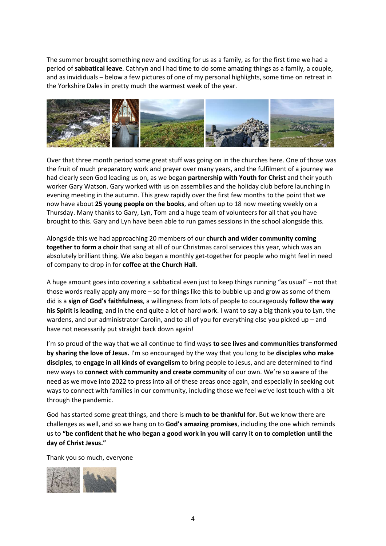The summer brought something new and exciting for us as a family, as for the first time we had a period of sabbatical leave. Cathryn and I had time to do some amazing things as a family, a couple, and as invididuals – below a few pictures of one of my personal highlights, some time on retreat in the Yorkshire Dales in pretty much the warmest week of the year.



Over that three month period some great stuff was going on in the churches here. One of those was the fruit of much preparatory work and prayer over many years, and the fulfilment of a journey we had clearly seen God leading us on, as we began partnership with Youth for Christ and their youth worker Gary Watson. Gary worked with us on assemblies and the holiday club before launching in evening meeting in the autumn. This grew rapidly over the first few months to the point that we now have about 25 young people on the books, and often up to 18 now meeting weekly on a Thursday. Many thanks to Gary, Lyn, Tom and a huge team of volunteers for all that you have brought to this. Gary and Lyn have been able to run games sessions in the school alongside this.

Alongside this we had approaching 20 members of our church and wider community coming together to form a choir that sang at all of our Christmas carol services this year, which was an absolutely brilliant thing. We also began a monthly get-together for people who might feel in need of company to drop in for coffee at the Church Hall.

A huge amount goes into covering a sabbatical even just to keep things running "as usual" – not that those words really apply any more – so for things like this to bubble up and grow as some of them did is a sign of God's faithfulness, a willingness from lots of people to courageously follow the way his Spirit is leading, and in the end quite a lot of hard work. I want to say a big thank you to Lyn, the wardens, and our administrator Carolin, and to all of you for everything else you picked up – and have not necessarily put straight back down again!

I'm so proud of the way that we all continue to find ways to see lives and communities transformed by sharing the love of Jesus. I'm so encouraged by the way that you long to be disciples who make disciples, to engage in all kinds of evangelism to bring people to Jesus, and are determined to find new ways to connect with community and create community of our own. We're so aware of the need as we move into 2022 to press into all of these areas once again, and especially in seeking out ways to connect with families in our community, including those we feel we've lost touch with a bit through the pandemic.

God has started some great things, and there is much to be thankful for. But we know there are challenges as well, and so we hang on to God's amazing promises, including the one which reminds us to "be confident that he who began a good work in you will carry it on to completion until the day of Christ Jesus."

Thank you so much, everyone

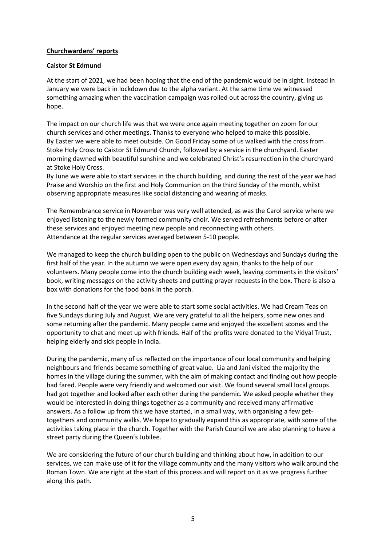## Churchwardens' reports

### Caistor St Edmund

At the start of 2021, we had been hoping that the end of the pandemic would be in sight. Instead in January we were back in lockdown due to the alpha variant. At the same time we witnessed something amazing when the vaccination campaign was rolled out across the country, giving us hope.

The impact on our church life was that we were once again meeting together on zoom for our church services and other meetings. Thanks to everyone who helped to make this possible. By Easter we were able to meet outside. On Good Friday some of us walked with the cross from Stoke Holy Cross to Caistor St Edmund Church, followed by a service in the churchyard. Easter morning dawned with beautiful sunshine and we celebrated Christ's resurrection in the churchyard at Stoke Holy Cross.

By June we were able to start services in the church building, and during the rest of the year we had Praise and Worship on the first and Holy Communion on the third Sunday of the month, whilst observing appropriate measures like social distancing and wearing of masks.

The Remembrance service in November was very well attended, as was the Carol service where we enjoyed listening to the newly formed community choir. We served refreshments before or after these services and enjoyed meeting new people and reconnecting with others. Attendance at the regular services averaged between 5-10 people.

We managed to keep the church building open to the public on Wednesdays and Sundays during the first half of the year. In the autumn we were open every day again, thanks to the help of our volunteers. Many people come into the church building each week, leaving comments in the visitors' book, writing messages on the activity sheets and putting prayer requests in the box. There is also a box with donations for the food bank in the porch.

In the second half of the year we were able to start some social activities. We had Cream Teas on five Sundays during July and August. We are very grateful to all the helpers, some new ones and some returning after the pandemic. Many people came and enjoyed the excellent scones and the opportunity to chat and meet up with friends. Half of the profits were donated to the Vidyal Trust, helping elderly and sick people in India.

During the pandemic, many of us reflected on the importance of our local community and helping neighbours and friends became something of great value. Lia and Jani visited the majority the homes in the village during the summer, with the aim of making contact and finding out how people had fared. People were very friendly and welcomed our visit. We found several small local groups had got together and looked after each other during the pandemic. We asked people whether they would be interested in doing things together as a community and received many affirmative answers. As a follow up from this we have started, in a small way, with organising a few gettogethers and community walks. We hope to gradually expand this as appropriate, with some of the activities taking place in the church. Together with the Parish Council we are also planning to have a street party during the Queen's Jubilee.

We are considering the future of our church building and thinking about how, in addition to our services, we can make use of it for the village community and the many visitors who walk around the Roman Town. We are right at the start of this process and will report on it as we progress further along this path.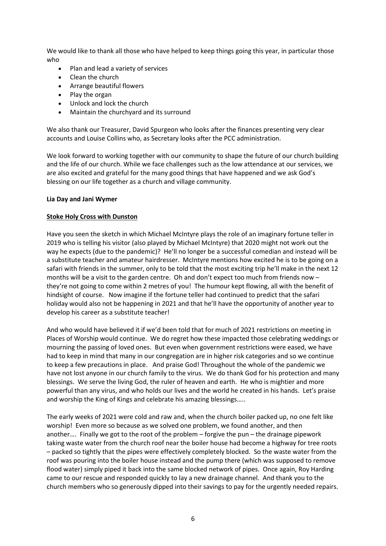We would like to thank all those who have helped to keep things going this year, in particular those who

- Plan and lead a variety of services
- Clean the church
- Arrange beautiful flowers
- Play the organ
- Unlock and lock the church
- Maintain the churchyard and its surround

We also thank our Treasurer, David Spurgeon who looks after the finances presenting very clear accounts and Louise Collins who, as Secretary looks after the PCC administration.

We look forward to working together with our community to shape the future of our church building and the life of our church. While we face challenges such as the low attendance at our services, we are also excited and grateful for the many good things that have happened and we ask God's blessing on our life together as a church and village community.

#### Lia Day and Jani Wymer

#### Stoke Holy Cross with Dunston

Have you seen the sketch in which Michael McIntyre plays the role of an imaginary fortune teller in 2019 who is telling his visitor (also played by Michael McIntyre) that 2020 might not work out the way he expects (due to the pandemic)? He'll no longer be a successful comedian and instead will be a substitute teacher and amateur hairdresser. McIntyre mentions how excited he is to be going on a safari with friends in the summer, only to be told that the most exciting trip he'll make in the next 12 months will be a visit to the garden centre. Oh and don't expect too much from friends now – they're not going to come within 2 metres of you! The humour kept flowing, all with the benefit of hindsight of course. Now imagine if the fortune teller had continued to predict that the safari holiday would also not be happening in 2021 and that he'll have the opportunity of another year to develop his career as a substitute teacher!

And who would have believed it if we'd been told that for much of 2021 restrictions on meeting in Places of Worship would continue. We do regret how these impacted those celebrating weddings or mourning the passing of loved ones. But even when government restrictions were eased, we have had to keep in mind that many in our congregation are in higher risk categories and so we continue to keep a few precautions in place. And praise God! Throughout the whole of the pandemic we have not lost anyone in our church family to the virus. We do thank God for his protection and many blessings. We serve the living God, the ruler of heaven and earth. He who is mightier and more powerful than any virus, and who holds our lives and the world he created in his hands. Let's praise and worship the King of Kings and celebrate his amazing blessings…..

The early weeks of 2021 were cold and raw and, when the church boiler packed up, no one felt like worship! Even more so because as we solved one problem, we found another, and then another…. Finally we got to the root of the problem – forgive the pun – the drainage pipework taking waste water from the church roof near the boiler house had become a highway for tree roots – packed so tightly that the pipes were effectively completely blocked. So the waste water from the roof was pouring into the boiler house instead and the pump there (which was supposed to remove flood water) simply piped it back into the same blocked network of pipes. Once again, Roy Harding came to our rescue and responded quickly to lay a new drainage channel. And thank you to the church members who so generously dipped into their savings to pay for the urgently needed repairs.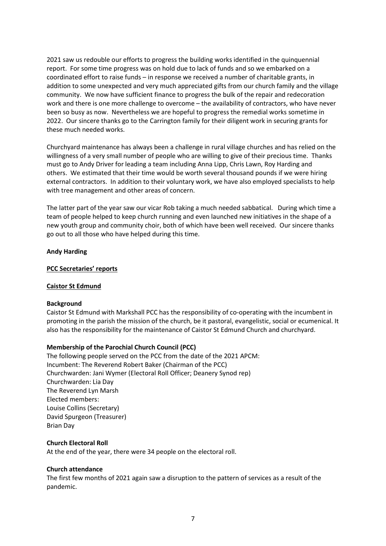2021 saw us redouble our efforts to progress the building works identified in the quinquennial report. For some time progress was on hold due to lack of funds and so we embarked on a coordinated effort to raise funds – in response we received a number of charitable grants, in addition to some unexpected and very much appreciated gifts from our church family and the village community. We now have sufficient finance to progress the bulk of the repair and redecoration work and there is one more challenge to overcome – the availability of contractors, who have never been so busy as now. Nevertheless we are hopeful to progress the remedial works sometime in 2022. Our sincere thanks go to the Carrington family for their diligent work in securing grants for these much needed works.

Churchyard maintenance has always been a challenge in rural village churches and has relied on the willingness of a very small number of people who are willing to give of their precious time. Thanks must go to Andy Driver for leading a team including Anna Lipp, Chris Lawn, Roy Harding and others. We estimated that their time would be worth several thousand pounds if we were hiring external contractors. In addition to their voluntary work, we have also employed specialists to help with tree management and other areas of concern.

The latter part of the year saw our vicar Rob taking a much needed sabbatical. During which time a team of people helped to keep church running and even launched new initiatives in the shape of a new youth group and community choir, both of which have been well received. Our sincere thanks go out to all those who have helped during this time.

## Andy Harding

## PCC Secretaries' reports

#### Caistor St Edmund

#### **Background**

Caistor St Edmund with Markshall PCC has the responsibility of co-operating with the incumbent in promoting in the parish the mission of the church, be it pastoral, evangelistic, social or ecumenical. It also has the responsibility for the maintenance of Caistor St Edmund Church and churchyard.

## Membership of the Parochial Church Council (PCC)

The following people served on the PCC from the date of the 2021 APCM: Incumbent: The Reverend Robert Baker (Chairman of the PCC) Churchwarden: Jani Wymer (Electoral Roll Officer; Deanery Synod rep) Churchwarden: Lia Day The Reverend Lyn Marsh Elected members: Louise Collins (Secretary) David Spurgeon (Treasurer) Brian Day

### Church Electoral Roll

At the end of the year, there were 34 people on the electoral roll.

#### Church attendance

The first few months of 2021 again saw a disruption to the pattern of services as a result of the pandemic.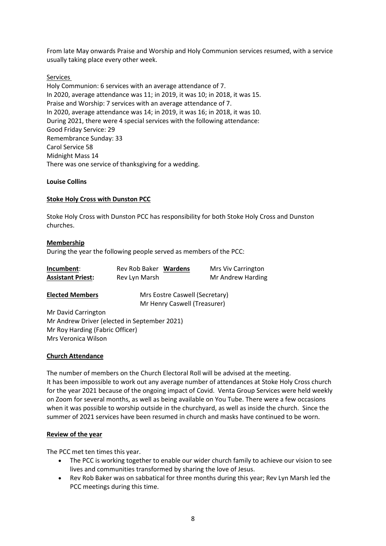From late May onwards Praise and Worship and Holy Communion services resumed, with a service usually taking place every other week.

### Services

Holy Communion: 6 services with an average attendance of 7. In 2020, average attendance was 11; in 2019, it was 10; in 2018, it was 15. Praise and Worship: 7 services with an average attendance of 7. In 2020, average attendance was 14; in 2019, it was 16; in 2018, it was 10. During 2021, there were 4 special services with the following attendance: Good Friday Service: 29 Remembrance Sunday: 33 Carol Service 58 Midnight Mass 14 There was one service of thanksgiving for a wedding.

#### Louise Collins

## Stoke Holy Cross with Dunston PCC

Stoke Holy Cross with Dunston PCC has responsibility for both Stoke Holy Cross and Dunston churches.

#### Membership

During the year the following people served as members of the PCC:

| Incumbent:               | Rev Rob Baker Wardens | <b>Mrs Viv Carrington</b> |
|--------------------------|-----------------------|---------------------------|
| <b>Assistant Priest:</b> | Rev Lyn Marsh         | Mr Andrew Harding         |

| <b>Elected Members</b> |  |
|------------------------|--|
|                        |  |

**Mrs Eostre Caswell (Secretary)** Mr Henry Caswell (Treasurer)

Mr David Carrington Mr Andrew Driver (elected in September 2021) Mr Roy Harding (Fabric Officer) Mrs Veronica Wilson

#### Church Attendance

The number of members on the Church Electoral Roll will be advised at the meeting. It has been impossible to work out any average number of attendances at Stoke Holy Cross church for the year 2021 because of the ongoing impact of Covid. Venta Group Services were held weekly on Zoom for several months, as well as being available on You Tube. There were a few occasions when it was possible to worship outside in the churchyard, as well as inside the church. Since the summer of 2021 services have been resumed in church and masks have continued to be worn.

#### Review of the year

The PCC met ten times this year.

- The PCC is working together to enable our wider church family to achieve our vision to see lives and communities transformed by sharing the love of Jesus.
- Rev Rob Baker was on sabbatical for three months during this year; Rev Lyn Marsh led the PCC meetings during this time.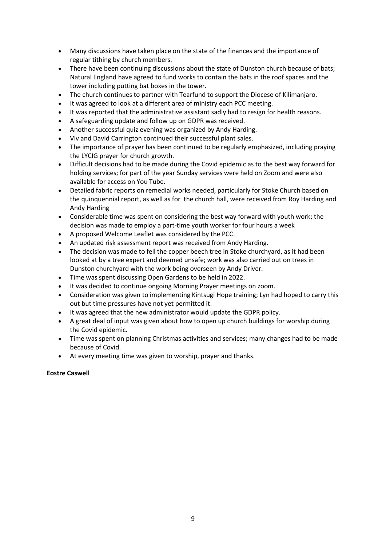- Many discussions have taken place on the state of the finances and the importance of regular tithing by church members.
- There have been continuing discussions about the state of Dunston church because of bats; Natural England have agreed to fund works to contain the bats in the roof spaces and the tower including putting bat boxes in the tower.
- The church continues to partner with Tearfund to support the Diocese of Kilimanjaro.
- It was agreed to look at a different area of ministry each PCC meeting.
- It was reported that the administrative assistant sadly had to resign for health reasons.
- A safeguarding update and follow up on GDPR was received.
- Another successful quiz evening was organized by Andy Harding.
- Viv and David Carrington continued their successful plant sales.
- The importance of prayer has been continued to be regularly emphasized, including praying the LYCIG prayer for church growth.
- Difficult decisions had to be made during the Covid epidemic as to the best way forward for holding services; for part of the year Sunday services were held on Zoom and were also available for access on You Tube.
- Detailed fabric reports on remedial works needed, particularly for Stoke Church based on the quinquennial report, as well as for the church hall, were received from Roy Harding and Andy Harding
- Considerable time was spent on considering the best way forward with youth work; the decision was made to employ a part-time youth worker for four hours a week
- A proposed Welcome Leaflet was considered by the PCC.
- An updated risk assessment report was received from Andy Harding.
- The decision was made to fell the copper beech tree in Stoke churchyard, as it had been looked at by a tree expert and deemed unsafe; work was also carried out on trees in Dunston churchyard with the work being overseen by Andy Driver.
- Time was spent discussing Open Gardens to be held in 2022.
- It was decided to continue ongoing Morning Prayer meetings on zoom.
- Consideration was given to implementing Kintsugi Hope training; Lyn had hoped to carry this out but time pressures have not yet permitted it.
- It was agreed that the new administrator would update the GDPR policy.
- A great deal of input was given about how to open up church buildings for worship during the Covid epidemic.
- Time was spent on planning Christmas activities and services; many changes had to be made because of Covid.
- At every meeting time was given to worship, prayer and thanks.

#### Eostre Caswell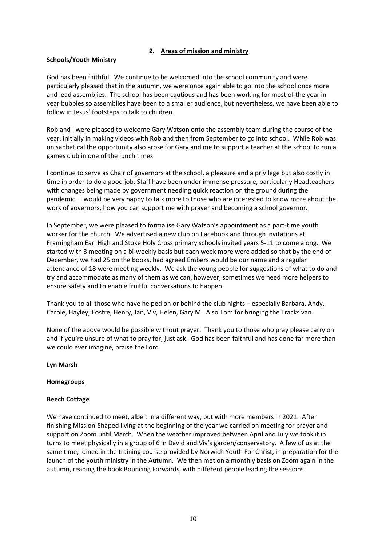## 2. Areas of mission and ministry

## Schools/Youth Ministry

God has been faithful. We continue to be welcomed into the school community and were particularly pleased that in the autumn, we were once again able to go into the school once more and lead assemblies. The school has been cautious and has been working for most of the year in year bubbles so assemblies have been to a smaller audience, but nevertheless, we have been able to follow in Jesus' footsteps to talk to children.

Rob and I were pleased to welcome Gary Watson onto the assembly team during the course of the year, initially in making videos with Rob and then from September to go into school. While Rob was on sabbatical the opportunity also arose for Gary and me to support a teacher at the school to run a games club in one of the lunch times.

I continue to serve as Chair of governors at the school, a pleasure and a privilege but also costly in time in order to do a good job. Staff have been under immense pressure, particularly Headteachers with changes being made by government needing quick reaction on the ground during the pandemic. I would be very happy to talk more to those who are interested to know more about the work of governors, how you can support me with prayer and becoming a school governor.

In September, we were pleased to formalise Gary Watson's appointment as a part-time youth worker for the church. We advertised a new club on Facebook and through invitations at Framingham Earl High and Stoke Holy Cross primary schools invited years 5-11 to come along. We started with 3 meeting on a bi-weekly basis but each week more were added so that by the end of December, we had 25 on the books, had agreed Embers would be our name and a regular attendance of 18 were meeting weekly. We ask the young people for suggestions of what to do and try and accommodate as many of them as we can, however, sometimes we need more helpers to ensure safety and to enable fruitful conversations to happen.

Thank you to all those who have helped on or behind the club nights – especially Barbara, Andy, Carole, Hayley, Eostre, Henry, Jan, Viv, Helen, Gary M. Also Tom for bringing the Tracks van.

None of the above would be possible without prayer. Thank you to those who pray please carry on and if you're unsure of what to pray for, just ask. God has been faithful and has done far more than we could ever imagine, praise the Lord.

#### Lyn Marsh

#### **Homegroups**

## Beech Cottage

We have continued to meet, albeit in a different way, but with more members in 2021. After finishing Mission-Shaped living at the beginning of the year we carried on meeting for prayer and support on Zoom until March. When the weather improved between April and July we took it in turns to meet physically in a group of 6 in David and Viv's garden/conservatory. A few of us at the same time, joined in the training course provided by Norwich Youth For Christ, in preparation for the launch of the youth ministry in the Autumn. We then met on a monthly basis on Zoom again in the autumn, reading the book Bouncing Forwards, with different people leading the sessions.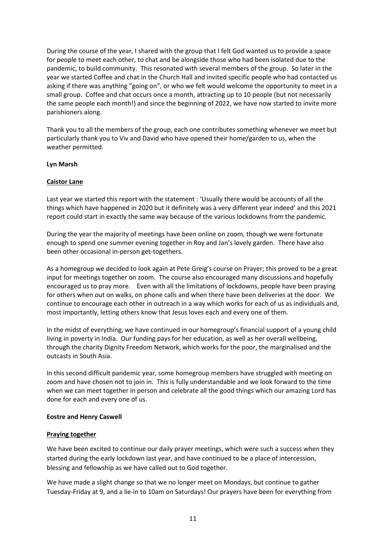During the course of the year, I shared with the group that I felt God wanted us to provide a space for people to meet each other, to chat and be alongside those who had been isolated due to the pandemic, to build community. This resonated with several members of the group. So later in the year we started Coffee and chat in the Church Hall and invited specific people who had contacted us asking if there was anything "going on", or who we felt would welcome the opportunity to meet in a small group. Coffee and chat occurs once a month, attracting up to 10 people (but not necessarily the same people each month!) and since the beginning of 2022, we have now started to invite more parishioners along.

Thank you to all the members of the group, each one contributes something whenever we meet but particularly thank you to Viv and David who have opened their home/garden to us, when the weather permitted.

#### Lyn Marsh

## Caistor Lane

Last year we started this report with the statement : 'Usually there would be accounts of all the things which have happened in 2020 but it definitely was a very different year indeed' and this 2021 report could start in exactly the same way because of the various lockdowns from the pandemic.

During the year the majority of meetings have been online on zoom, though we were fortunate enough to spend one summer evening together in Roy and Jan's lovely garden. There have also been other occasional in-person get-togethers.

As a homegroup we decided to look again at Pete Greig's course on Prayer; this proved to be a great input for meetings together on zoom. The course also encouraged many discussions and hopefully encouraged us to pray more. Even with all the limitations of lockdowns, people have been praying for others when out on walks, on phone calls and when there have been deliveries at the door. We continue to encourage each other in outreach in a way which works for each of us as individuals and, most importantly, letting others know that Jesus loves each and every one of them.

In the midst of everything, we have continued in our homegroup's financial support of a young child living in poverty in India. Our funding pays for her education, as well as her overall wellbeing, through the charity Dignity Freedom Network, which works for the poor, the marginalised and the outcasts in South Asia.

In this second difficult pandemic year, some homegroup members have struggled with meeting on zoom and have chosen not to join in. This is fully understandable and we look forward to the time when we can meet together in person and celebrate all the good things which our amazing Lord has done for each and every one of us.

#### Eostre and Henry Caswell

## Praying together

We have been excited to continue our daily prayer meetings, which were such a success when they started during the early lockdown last year, and have continued to be a place of intercession, blessing and fellowship as we have called out to God together.

We have made a slight change so that we no longer meet on Mondays, but continue to gather Tuesday-Friday at 9, and a lie-in to 10am on Saturdays! Our prayers have been for everything from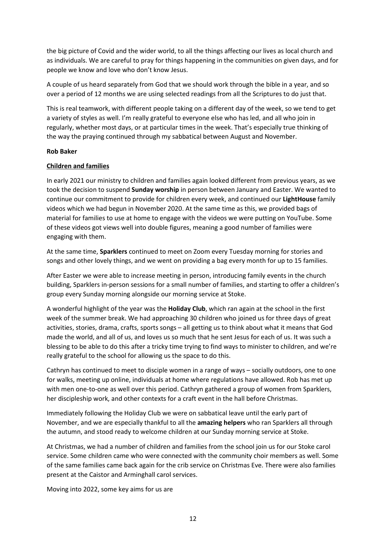the big picture of Covid and the wider world, to all the things affecting our lives as local church and as individuals. We are careful to pray for things happening in the communities on given days, and for people we know and love who don't know Jesus.

A couple of us heard separately from God that we should work through the bible in a year, and so over a period of 12 months we are using selected readings from all the Scriptures to do just that.

This is real teamwork, with different people taking on a different day of the week, so we tend to get a variety of styles as well. I'm really grateful to everyone else who has led, and all who join in regularly, whether most days, or at particular times in the week. That's especially true thinking of the way the praying continued through my sabbatical between August and November.

#### Rob Baker

#### Children and families

In early 2021 our ministry to children and families again looked different from previous years, as we took the decision to suspend Sunday worship in person between January and Easter. We wanted to continue our commitment to provide for children every week, and continued our LightHouse family videos which we had begun in November 2020. At the same time as this, we provided bags of material for families to use at home to engage with the videos we were putting on YouTube. Some of these videos got views well into double figures, meaning a good number of families were engaging with them.

At the same time, Sparklers continued to meet on Zoom every Tuesday morning for stories and songs and other lovely things, and we went on providing a bag every month for up to 15 families.

After Easter we were able to increase meeting in person, introducing family events in the church building, Sparklers in-person sessions for a small number of families, and starting to offer a children's group every Sunday morning alongside our morning service at Stoke.

A wonderful highlight of the year was the **Holiday Club**, which ran again at the school in the first week of the summer break. We had approaching 30 children who joined us for three days of great activities, stories, drama, crafts, sports songs – all getting us to think about what it means that God made the world, and all of us, and loves us so much that he sent Jesus for each of us. It was such a blessing to be able to do this after a tricky time trying to find ways to minister to children, and we're really grateful to the school for allowing us the space to do this.

Cathryn has continued to meet to disciple women in a range of ways – socially outdoors, one to one for walks, meeting up online, individuals at home where regulations have allowed. Rob has met up with men one-to-one as well over this period. Cathryn gathered a group of women from Sparklers, her discipleship work, and other contexts for a craft event in the hall before Christmas.

Immediately following the Holiday Club we were on sabbatical leave until the early part of November, and we are especially thankful to all the amazing helpers who ran Sparklers all through the autumn, and stood ready to welcome children at our Sunday morning service at Stoke.

At Christmas, we had a number of children and families from the school join us for our Stoke carol service. Some children came who were connected with the community choir members as well. Some of the same families came back again for the crib service on Christmas Eve. There were also families present at the Caistor and Arminghall carol services.

Moving into 2022, some key aims for us are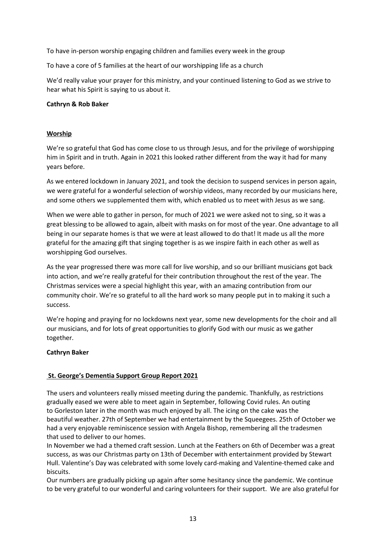To have in-person worship engaging children and families every week in the group

To have a core of 5 families at the heart of our worshipping life as a church

We'd really value your prayer for this ministry, and your continued listening to God as we strive to hear what his Spirit is saying to us about it.

## Cathryn & Rob Baker

## Worship

We're so grateful that God has come close to us through Jesus, and for the privilege of worshipping him in Spirit and in truth. Again in 2021 this looked rather different from the way it had for many years before.

As we entered lockdown in January 2021, and took the decision to suspend services in person again, we were grateful for a wonderful selection of worship videos, many recorded by our musicians here, and some others we supplemented them with, which enabled us to meet with Jesus as we sang.

When we were able to gather in person, for much of 2021 we were asked not to sing, so it was a great blessing to be allowed to again, albeit with masks on for most of the year. One advantage to all being in our separate homes is that we were at least allowed to do that! It made us all the more grateful for the amazing gift that singing together is as we inspire faith in each other as well as worshipping God ourselves.

As the year progressed there was more call for live worship, and so our brilliant musicians got back into action, and we're really grateful for their contribution throughout the rest of the year. The Christmas services were a special highlight this year, with an amazing contribution from our community choir. We're so grateful to all the hard work so many people put in to making it such a success.

We're hoping and praying for no lockdowns next year, some new developments for the choir and all our musicians, and for lots of great opportunities to glorify God with our music as we gather together.

#### Cathryn Baker

## St. George's Dementia Support Group Report 2021

The users and volunteers really missed meeting during the pandemic. Thankfully, as restrictions gradually eased we were able to meet again in September, following Covid rules. An outing to Gorleston later in the month was much enjoyed by all. The icing on the cake was the beautiful weather. 27th of September we had entertainment by the Squeegees. 25th of October we had a very enjoyable reminiscence session with Angela Bishop, remembering all the tradesmen that used to deliver to our homes.

In November we had a themed craft session. Lunch at the Feathers on 6th of December was a great success, as was our Christmas party on 13th of December with entertainment provided by Stewart Hull. Valentine's Day was celebrated with some lovely card-making and Valentine-themed cake and biscuits.

Our numbers are gradually picking up again after some hesitancy since the pandemic. We continue to be very grateful to our wonderful and caring volunteers for their support. We are also grateful for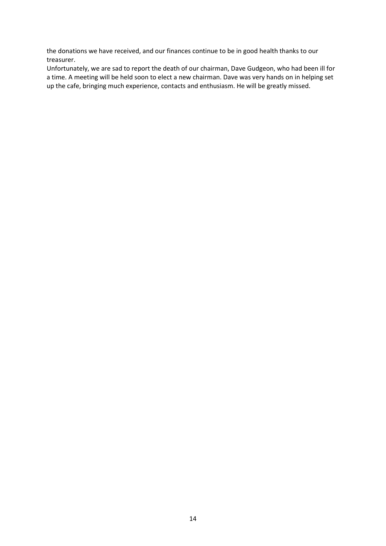the donations we have received, and our finances continue to be in good health thanks to our treasurer.

Unfortunately, we are sad to report the death of our chairman, Dave Gudgeon, who had been ill for a time. A meeting will be held soon to elect a new chairman. Dave was very hands on in helping set up the cafe, bringing much experience, contacts and enthusiasm. He will be greatly missed.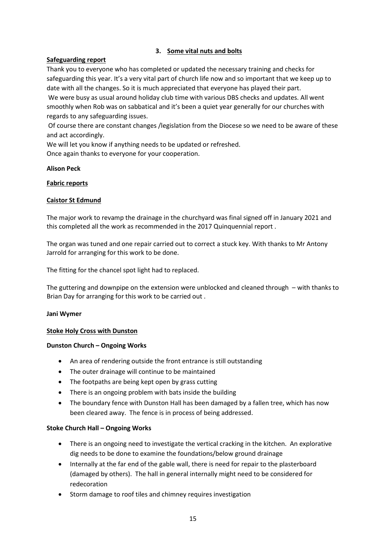## 3. Some vital nuts and bolts

## Safeguarding report

Thank you to everyone who has completed or updated the necessary training and checks for safeguarding this year. It's a very vital part of church life now and so important that we keep up to date with all the changes. So it is much appreciated that everyone has played their part.

 We were busy as usual around holiday club time with various DBS checks and updates. All went smoothly when Rob was on sabbatical and it's been a quiet year generally for our churches with regards to any safeguarding issues.

 Of course there are constant changes /legislation from the Diocese so we need to be aware of these and act accordingly.

We will let you know if anything needs to be updated or refreshed.

Once again thanks to everyone for your cooperation.

## Alison Peck

## Fabric reports

## Caistor St Edmund

The major work to revamp the drainage in the churchyard was final signed off in January 2021 and this completed all the work as recommended in the 2017 Quinquennial report .

The organ was tuned and one repair carried out to correct a stuck key. With thanks to Mr Antony Jarrold for arranging for this work to be done.

The fitting for the chancel spot light had to replaced.

The guttering and downpipe on the extension were unblocked and cleaned through – with thanks to Brian Day for arranging for this work to be carried out .

#### Jani Wymer

#### Stoke Holy Cross with Dunston

#### Dunston Church – Ongoing Works

- An area of rendering outside the front entrance is still outstanding
- The outer drainage will continue to be maintained
- The footpaths are being kept open by grass cutting
- There is an ongoing problem with bats inside the building
- The boundary fence with Dunston Hall has been damaged by a fallen tree, which has now been cleared away. The fence is in process of being addressed.

#### Stoke Church Hall – Ongoing Works

- There is an ongoing need to investigate the vertical cracking in the kitchen. An explorative dig needs to be done to examine the foundations/below ground drainage
- Internally at the far end of the gable wall, there is need for repair to the plasterboard (damaged by others). The hall in general internally might need to be considered for redecoration
- Storm damage to roof tiles and chimney requires investigation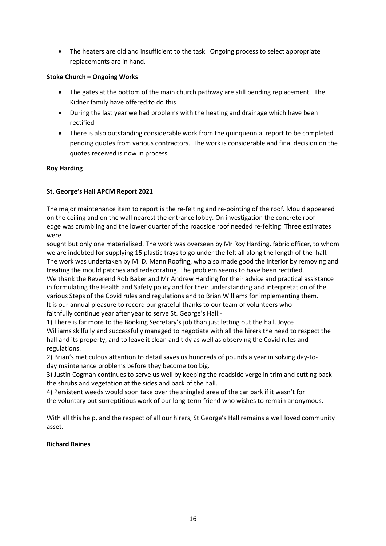• The heaters are old and insufficient to the task. Ongoing process to select appropriate replacements are in hand.

## Stoke Church – Ongoing Works

- The gates at the bottom of the main church pathway are still pending replacement. The Kidner family have offered to do this
- During the last year we had problems with the heating and drainage which have been rectified
- There is also outstanding considerable work from the quinquennial report to be completed pending quotes from various contractors. The work is considerable and final decision on the quotes received is now in process

## Roy Harding

# St. George's Hall APCM Report 2021

The major maintenance item to report is the re-felting and re-pointing of the roof. Mould appeared on the ceiling and on the wall nearest the entrance lobby. On investigation the concrete roof edge was crumbling and the lower quarter of the roadside roof needed re-felting. Three estimates were

sought but only one materialised. The work was overseen by Mr Roy Harding, fabric officer, to whom we are indebted for supplying 15 plastic trays to go under the felt all along the length of the hall. The work was undertaken by M. D. Mann Roofing, who also made good the interior by removing and treating the mould patches and redecorating. The problem seems to have been rectified. We thank the Reverend Rob Baker and Mr Andrew Harding for their advice and practical assistance in formulating the Health and Safety policy and for their understanding and interpretation of the various Steps of the Covid rules and regulations and to Brian Williams for implementing them.

It is our annual pleasure to record our grateful thanks to our team of volunteers who faithfully continue year after year to serve St. George's Hall:-

1) There is far more to the Booking Secretary's job than just letting out the hall. Joyce Williams skilfully and successfully managed to negotiate with all the hirers the need to respect the hall and its property, and to leave it clean and tidy as well as observing the Covid rules and regulations.

2) Brian's meticulous attention to detail saves us hundreds of pounds a year in solving day-today maintenance problems before they become too big.

3) Justin Cogman continues to serve us well by keeping the roadside verge in trim and cutting back the shrubs and vegetation at the sides and back of the hall.

4) Persistent weeds would soon take over the shingled area of the car park if it wasn't for the voluntary but surreptitious work of our long-term friend who wishes to remain anonymous.

With all this help, and the respect of all our hirers, St George's Hall remains a well loved community asset.

## Richard Raines